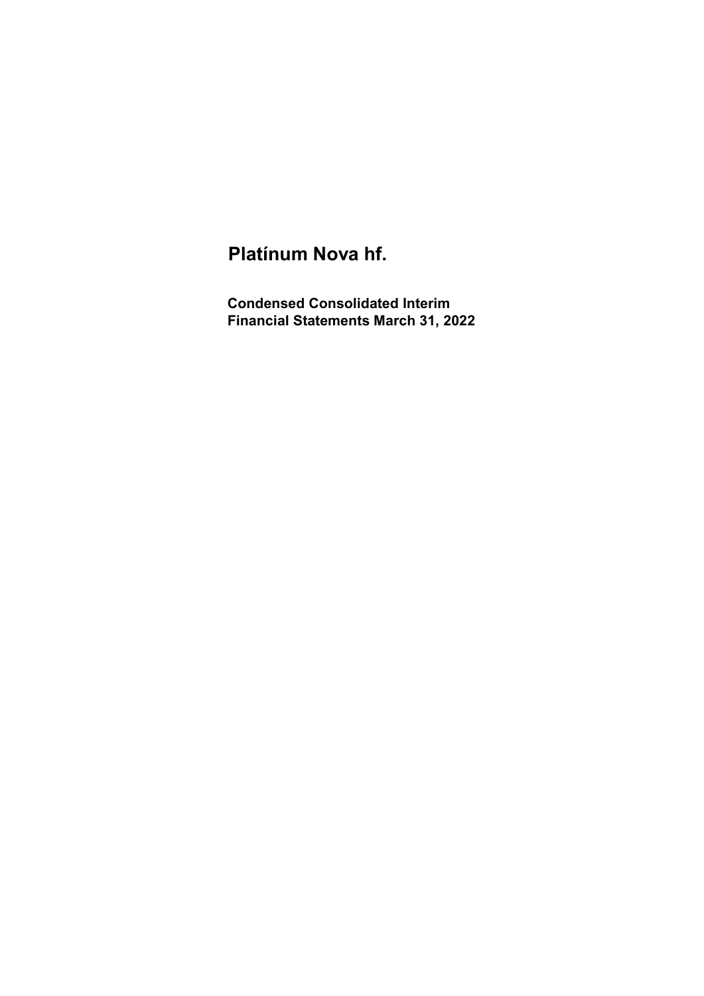# Platínum Nova hf.

Condensed Consolidated Interim Financial Statements March 31, 2022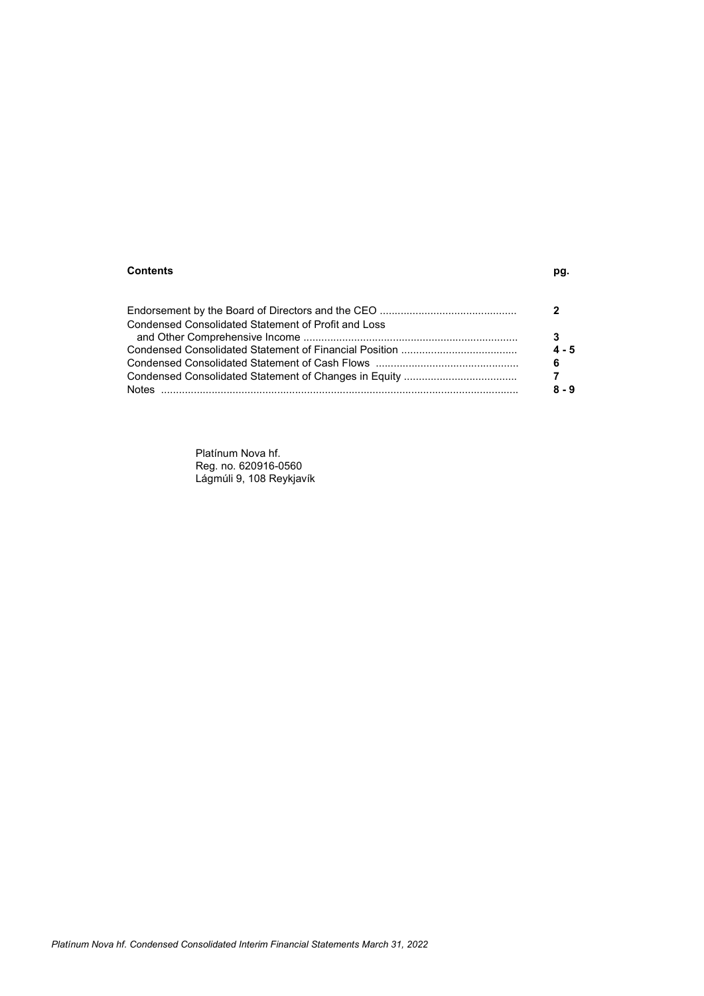### Contents pg.

| Condensed Consolidated Statement of Profit and Loss |          |
|-----------------------------------------------------|----------|
|                                                     |          |
|                                                     | $4 - 5$  |
|                                                     | 6        |
|                                                     | <b>7</b> |
|                                                     | $8 - 9$  |

Platínum Nova hf. Reg. no. 620916-0560 Lágmúli 9, 108 Reykjavík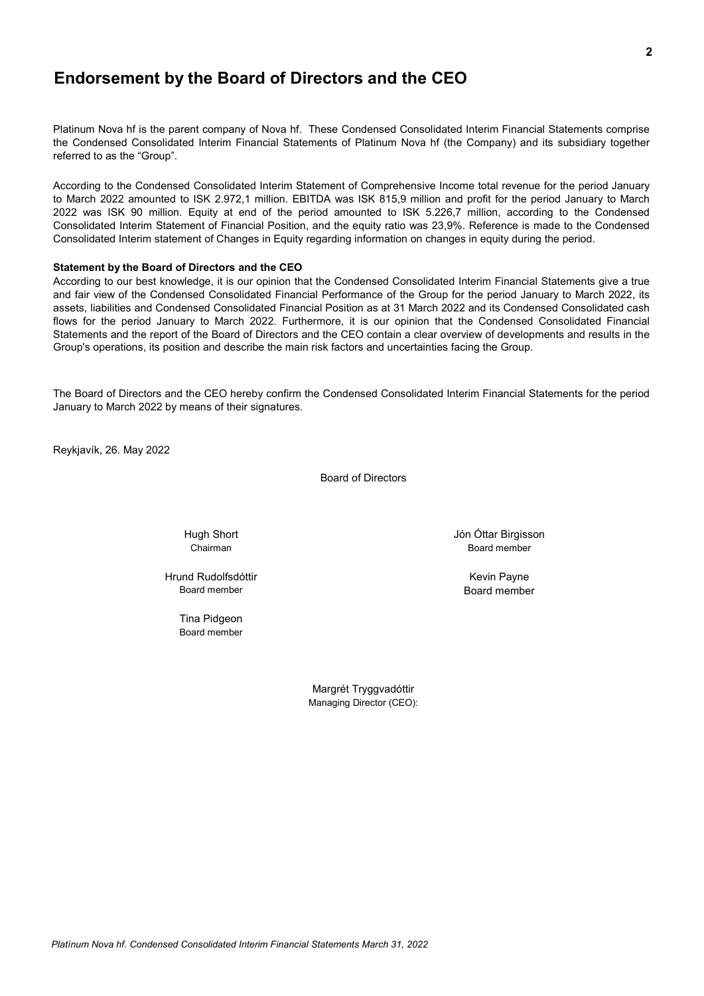### Endorsement by the Board of Directors and the CEO

Platinum Nova hf is the parent company of Nova hf. These Condensed Consolidated Interim Financial Statements comprise the Condensed Consolidated Interim Financial Statements of Platinum Nova hf (the Company) and its subsidiary together referred to as the "Group".

According to the Condensed Consolidated Interim Statement of Comprehensive Income total revenue for the period January to March 2022 amounted to ISK 2.972,1 million. EBITDA was ISK 815,9 million and profit for the period January to March 2022 was ISK 90 million. Equity at end of the period amounted to ISK 5.226,7 million, according to the Condensed Consolidated Interim Statement of Financial Position, and the equity ratio was 23,9%. Reference is made to the Condensed Consolidated Interim statement of Changes in Equity regarding information on changes in equity during the period.

#### Statement by the Board of Directors and the CEO

According to our best knowledge, it is our opinion that the Condensed Consolidated Interim Financial Statements give a true and fair view of the Condensed Consolidated Financial Performance of the Group for the period January to March 2022, its assets, liabilities and Condensed Consolidated Financial Position as at 31 March 2022 and its Condensed Consolidated cash flows for the period January to March 2022. Furthermore, it is our opinion that the Condensed Consolidated Financial Statements and the report of the Board of Directors and the CEO contain a clear overview of developments and results in the Group's operations, its position and describe the main risk factors and uncertainties facing the Group.

The Board of Directors and the CEO hereby confirm the Condensed Consolidated Interim Financial Statements for the period January to March 2022 by means of their signatures.

Reykjavík, 26. May 2022

Board of Directors

Hugh Short

Board member **Hrund Rudolfsdóttir** Kevin Payne

Board member Tina Pidgeon

> Margrét Tryggvadóttir Managing Director (CEO):

Chairman Board member Jón Óttar Birgisson

Board member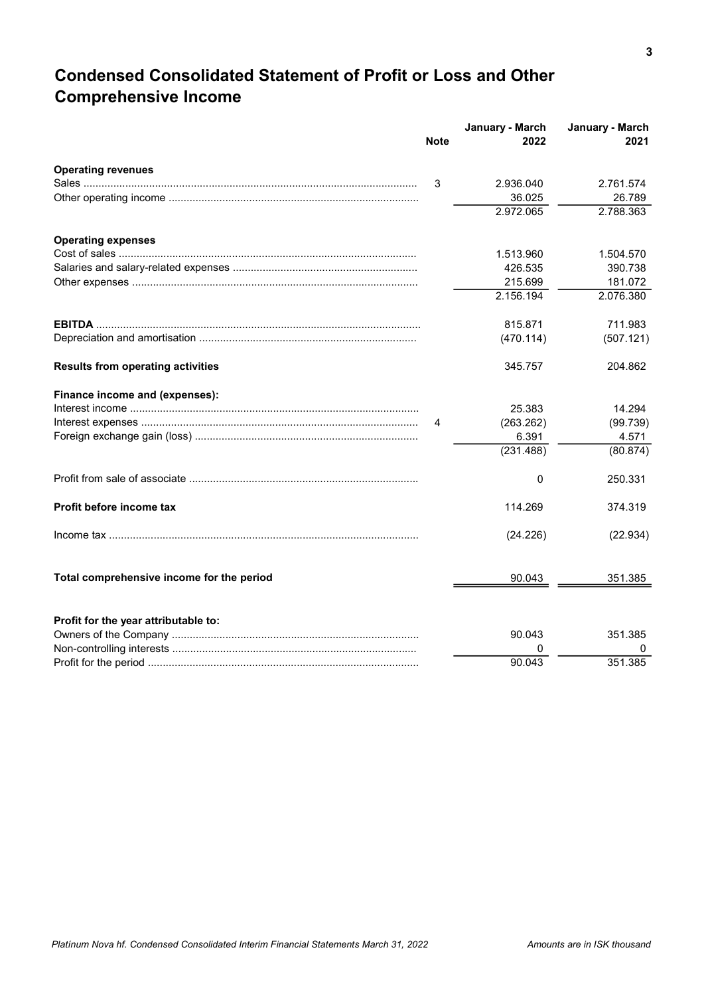## Condensed Consolidated Statement of Profit or Loss and Other Comprehensive Income

|                                           | <b>Note</b> | January - March<br>2022 | January - March<br>2021 |
|-------------------------------------------|-------------|-------------------------|-------------------------|
| <b>Operating revenues</b>                 |             |                         |                         |
|                                           | 3           | 2.936.040               | 2.761.574               |
|                                           |             | 36.025                  | 26.789                  |
|                                           |             | 2.972.065               | 2.788.363               |
| <b>Operating expenses</b>                 |             |                         |                         |
|                                           |             | 1.513.960               | 1.504.570               |
|                                           |             | 426.535                 | 390.738                 |
|                                           |             | 215.699                 | 181.072                 |
|                                           |             | 2.156.194               | 2.076.380               |
|                                           |             | 815.871                 | 711.983                 |
|                                           |             | (470.114)               | (507.121)               |
| <b>Results from operating activities</b>  |             | 345.757                 | 204.862                 |
| Finance income and (expenses):            |             |                         |                         |
|                                           |             | 25.383                  | 14.294                  |
|                                           | 4           | (263.262)               | (99.739)                |
|                                           |             | 6.391                   | 4.571                   |
|                                           |             | (231.488)               | (80.874)                |
|                                           |             | 0                       | 250.331                 |
| Profit before income tax                  |             | 114.269                 | 374.319                 |
|                                           |             | (24.226)                | (22.934)                |
| Total comprehensive income for the period |             | 90.043                  | 351.385                 |
| Profit for the year attributable to:      |             |                         |                         |
|                                           |             | 90.043                  | 351.385                 |
|                                           |             | 0                       | 0                       |
|                                           |             | 90.043                  | 351.385                 |
|                                           |             |                         |                         |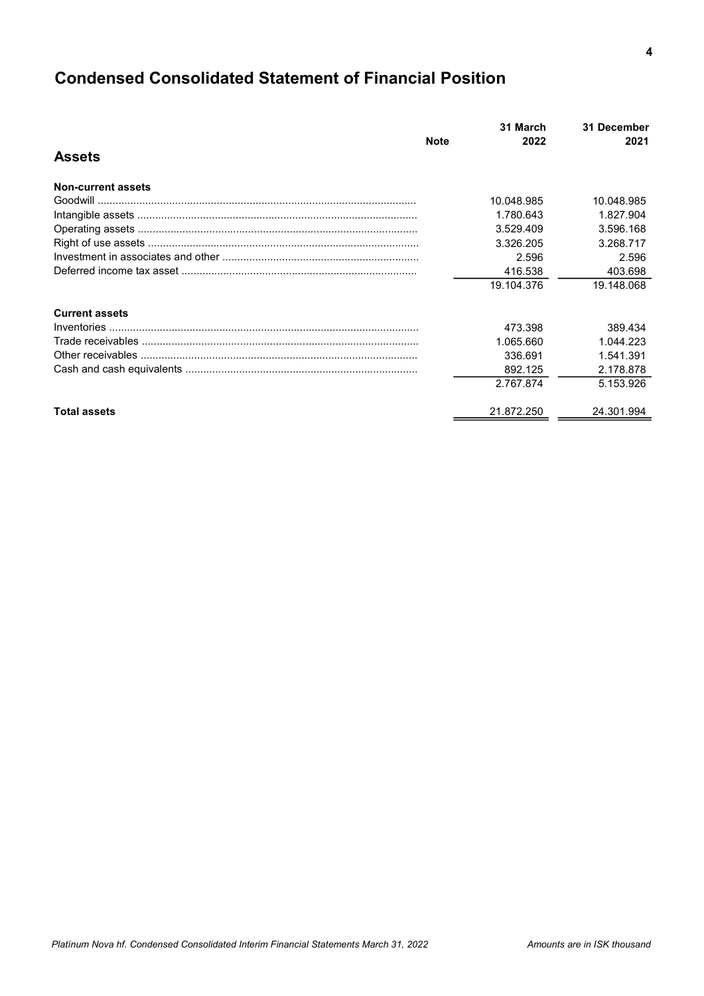# Condensed Consolidated Statement of Financial Position

| <b>Assets</b><br><b>Non-current assets</b><br>10.048.985<br>10.048.985<br>1.780.643<br>1.827.904<br>3.529.409<br>3.596.168<br>3.326.205<br>3.268.717<br>2.596<br>2.596<br>416.538<br>403.698<br>19.104.376<br>19.148.068<br><b>Current assets</b><br>473.398<br>389.434<br>1.044.223<br>1.065.660<br>336.691<br>1.541.391<br>892.125<br>2.178.878<br>2.767.874<br>5.153.926<br>21.872.250<br>24.301.994<br><b>Total assets</b> | <b>Note</b> | 31 March<br>2022 | 31 December<br>2021 |
|--------------------------------------------------------------------------------------------------------------------------------------------------------------------------------------------------------------------------------------------------------------------------------------------------------------------------------------------------------------------------------------------------------------------------------|-------------|------------------|---------------------|
|                                                                                                                                                                                                                                                                                                                                                                                                                                |             |                  |                     |
|                                                                                                                                                                                                                                                                                                                                                                                                                                |             |                  |                     |
|                                                                                                                                                                                                                                                                                                                                                                                                                                |             |                  |                     |
|                                                                                                                                                                                                                                                                                                                                                                                                                                |             |                  |                     |
|                                                                                                                                                                                                                                                                                                                                                                                                                                |             |                  |                     |
|                                                                                                                                                                                                                                                                                                                                                                                                                                |             |                  |                     |
|                                                                                                                                                                                                                                                                                                                                                                                                                                |             |                  |                     |
|                                                                                                                                                                                                                                                                                                                                                                                                                                |             |                  |                     |
|                                                                                                                                                                                                                                                                                                                                                                                                                                |             |                  |                     |
|                                                                                                                                                                                                                                                                                                                                                                                                                                |             |                  |                     |
|                                                                                                                                                                                                                                                                                                                                                                                                                                |             |                  |                     |
|                                                                                                                                                                                                                                                                                                                                                                                                                                |             |                  |                     |
|                                                                                                                                                                                                                                                                                                                                                                                                                                |             |                  |                     |
|                                                                                                                                                                                                                                                                                                                                                                                                                                |             |                  |                     |
|                                                                                                                                                                                                                                                                                                                                                                                                                                |             |                  |                     |
|                                                                                                                                                                                                                                                                                                                                                                                                                                |             |                  |                     |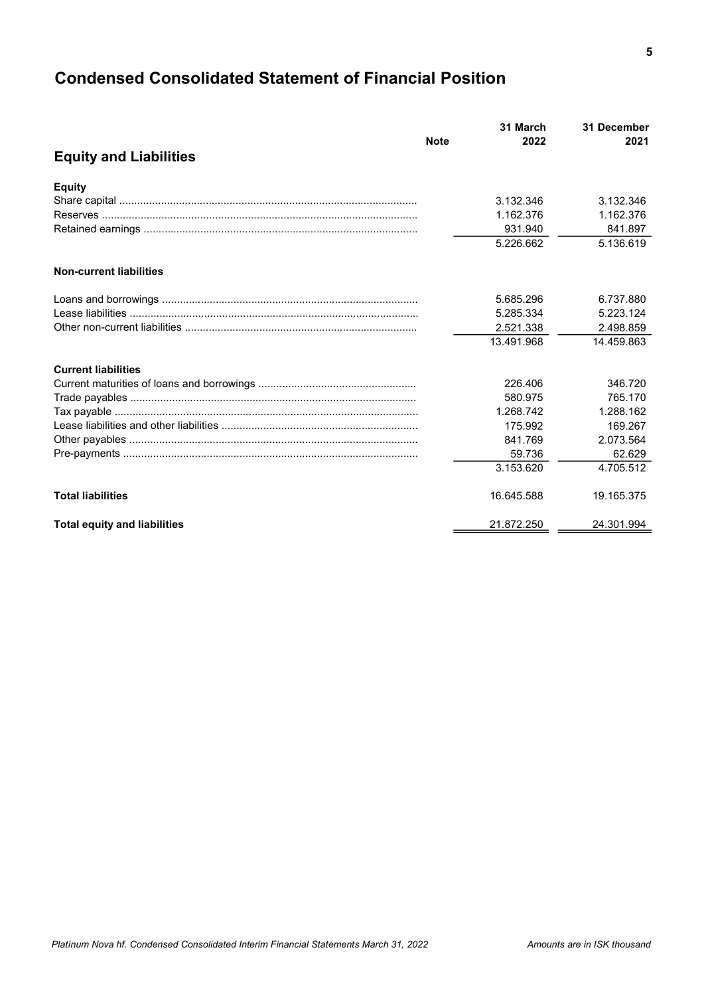# Condensed Consolidated Statement of Financial Position

|                                     |             | 31 March   | 31 December |
|-------------------------------------|-------------|------------|-------------|
|                                     | <b>Note</b> | 2022       | 2021        |
| <b>Equity and Liabilities</b>       |             |            |             |
| <b>Equity</b>                       |             |            |             |
|                                     |             | 3.132.346  | 3.132.346   |
|                                     |             | 1.162.376  | 1.162.376   |
|                                     |             | 931.940    | 841.897     |
|                                     |             | 5.226.662  | 5.136.619   |
| <b>Non-current liabilities</b>      |             |            |             |
|                                     |             | 5.685.296  | 6.737.880   |
|                                     |             | 5.285.334  | 5.223.124   |
|                                     |             | 2.521.338  | 2.498.859   |
|                                     |             | 13.491.968 | 14.459.863  |
| <b>Current liabilities</b>          |             |            |             |
|                                     |             | 226,406    | 346.720     |
|                                     |             | 580.975    | 765.170     |
|                                     |             | 1.268.742  | 1.288.162   |
|                                     |             | 175.992    | 169.267     |
|                                     |             | 841.769    | 2.073.564   |
|                                     |             | 59.736     | 62.629      |
|                                     |             | 3.153.620  | 4.705.512   |
| <b>Total liabilities</b>            |             | 16.645.588 | 19.165.375  |
| <b>Total equity and liabilities</b> |             | 21.872.250 | 24.301.994  |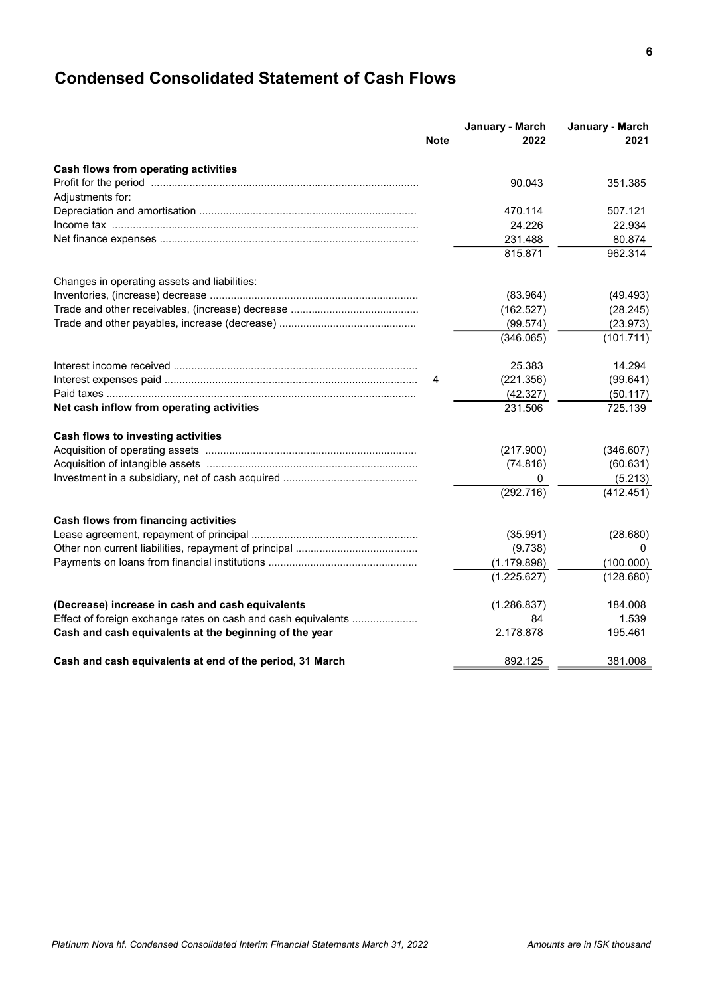# Condensed Consolidated Statement of Cash Flows

|                                                               | <b>Note</b> | January - March<br>2022 | January - March<br>2021 |
|---------------------------------------------------------------|-------------|-------------------------|-------------------------|
| Cash flows from operating activities                          |             |                         |                         |
|                                                               |             | 90.043                  | 351.385                 |
| Adjustments for:                                              |             |                         |                         |
|                                                               |             | 470.114                 | 507.121                 |
|                                                               |             | 24.226                  | 22.934                  |
|                                                               |             | 231.488                 | 80.874                  |
|                                                               |             | 815.871                 | 962.314                 |
| Changes in operating assets and liabilities:                  |             |                         |                         |
|                                                               |             | (83.964)                | (49.493)                |
|                                                               |             | (162.527)               | (28.245)                |
|                                                               |             | (99.574)                | (23.973)                |
|                                                               |             | (346.065)               | (101.711)               |
|                                                               |             | 25.383                  | 14.294                  |
|                                                               | 4           | (221.356)               | (99.641)                |
|                                                               |             | (42.327)                | (50.117)                |
| Net cash inflow from operating activities                     |             | 231.506                 | 725.139                 |
| Cash flows to investing activities                            |             |                         |                         |
|                                                               |             | (217.900)               | (346.607)               |
|                                                               |             | (74.816)                | (60.631)                |
|                                                               |             | 0                       | (5.213)                 |
|                                                               |             | (292.716)               | (412.451)               |
| Cash flows from financing activities                          |             |                         |                         |
|                                                               |             | (35.991)                | (28.680)                |
|                                                               |             | (9.738)                 | 0                       |
|                                                               |             | (1.179.898)             | (100.000)               |
|                                                               |             | (1.225.627)             | (128.680)               |
| (Decrease) increase in cash and cash equivalents              |             | (1.286.837)             | 184.008                 |
| Effect of foreign exchange rates on cash and cash equivalents |             | 84                      | 1.539                   |
| Cash and cash equivalents at the beginning of the year        |             | 2.178.878               | 195.461                 |
| Cash and cash equivalents at end of the period, 31 March      |             | 892.125                 | 381.008                 |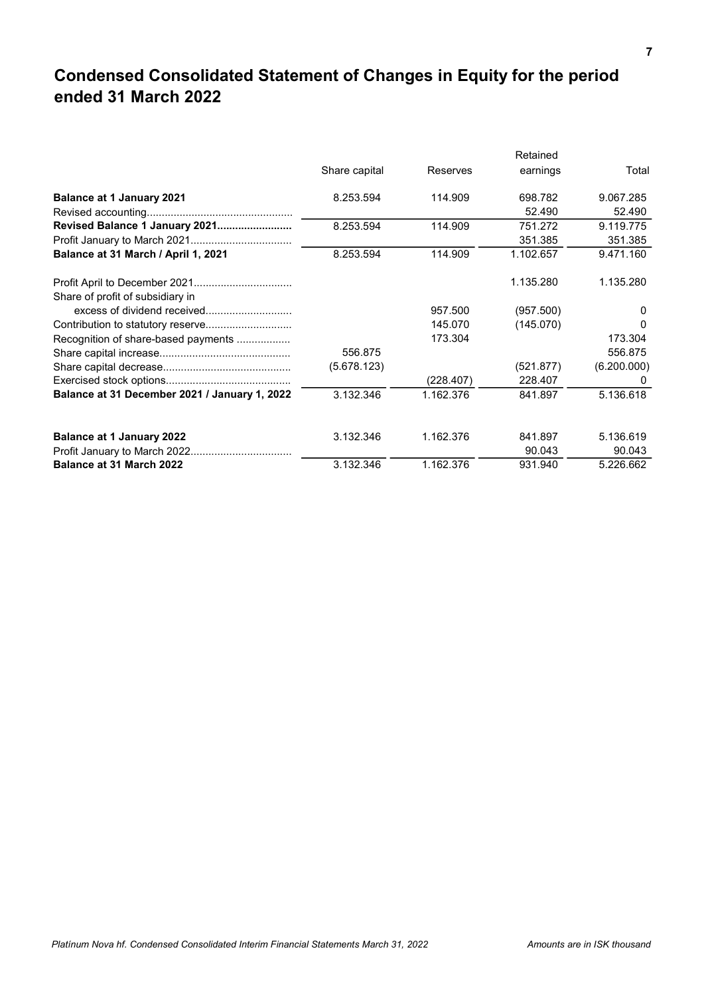## Condensed Consolidated Statement of Changes in Equity for the period ended 31 March 2022

|                                               | Retained      |           |           |              |  |
|-----------------------------------------------|---------------|-----------|-----------|--------------|--|
|                                               | Share capital | Reserves  | earnings  | Total        |  |
| <b>Balance at 1 January 2021</b>              | 8.253.594     | 114.909   | 698.782   | 9.067.285    |  |
|                                               |               |           | 52.490    | 52.490       |  |
| Revised Balance 1 January 2021                | 8.253.594     | 114.909   | 751.272   | 9.119.775    |  |
|                                               |               |           | 351.385   | 351.385      |  |
| Balance at 31 March / April 1, 2021           | 8.253.594     | 114.909   | 1.102.657 | 9.471.160    |  |
|                                               |               |           | 1.135.280 | 1.135.280    |  |
| Share of profit of subsidiary in              |               |           |           |              |  |
|                                               |               | 957.500   | (957.500) | <sup>0</sup> |  |
|                                               |               | 145.070   | (145.070) | O            |  |
| Recognition of share-based payments           |               | 173.304   |           | 173.304      |  |
|                                               | 556.875       |           |           | 556.875      |  |
|                                               | (5.678.123)   |           | (521.877) | (6.200.000)  |  |
|                                               |               | (228.407) | 228.407   | 0            |  |
| Balance at 31 December 2021 / January 1, 2022 | 3.132.346     | 1.162.376 | 841.897   | 5.136.618    |  |
| <b>Balance at 1 January 2022</b>              | 3.132.346     | 1.162.376 | 841.897   | 5.136.619    |  |
| Profit January to March 2022.                 |               |           | 90.043    | 90.043       |  |
| <b>Balance at 31 March 2022</b>               | 3.132.346     | 1.162.376 | 931.940   | 5.226.662    |  |
|                                               |               |           |           |              |  |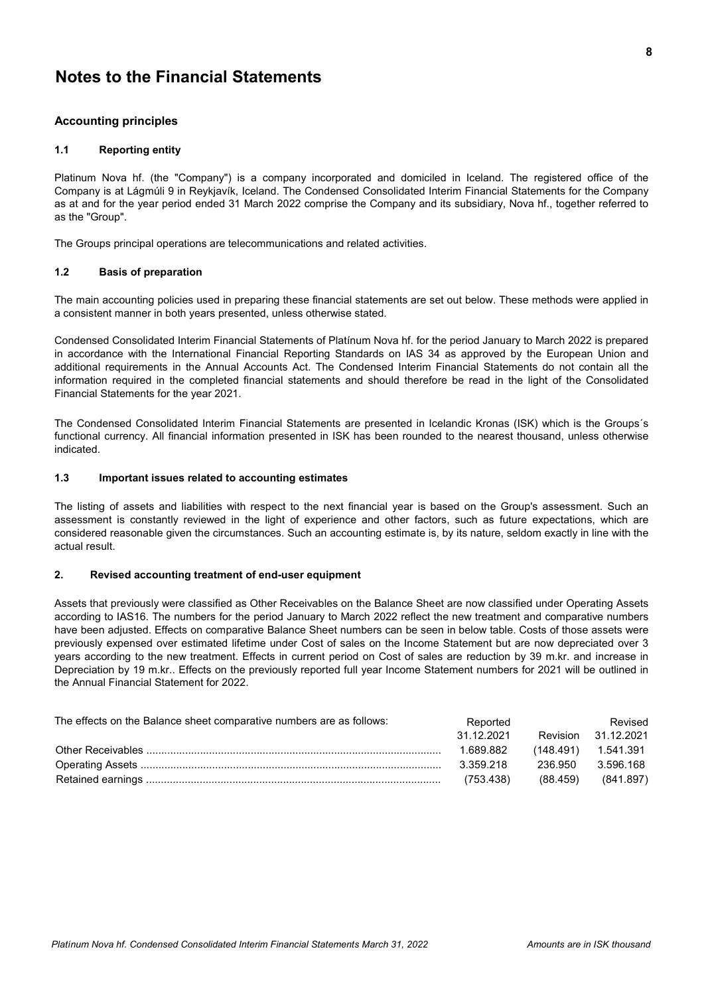## Notes to the Financial Statements

### Accounting principles

### 1.1 Reporting entity

Platinum Nova hf. (the "Company") is a company incorporated and domiciled in Iceland. The registered office of the Company is at Lágmúli 9 in Reykjavík, Iceland. The Condensed Consolidated Interim Financial Statements for the Company as at and for the year period ended 31 March 2022 comprise the Company and its subsidiary, Nova hf., together referred to as the "Group".

The Groups principal operations are telecommunications and related activities.

### 1.2 Basis of preparation

The main accounting policies used in preparing these financial statements are set out below. These methods were applied in a consistent manner in both years presented, unless otherwise stated.

Condensed Consolidated Interim Financial Statements of Platínum Nova hf. for the period January to March 2022 is prepared in accordance with the International Financial Reporting Standards on IAS 34 as approved by the European Union and additional requirements in the Annual Accounts Act. The Condensed Interim Financial Statements do not contain all the information required in the completed financial statements and should therefore be read in the light of the Consolidated Financial Statements for the year 2021.

The Condensed Consolidated Interim Financial Statements are presented in Icelandic Kronas (ISK) which is the Groups´s functional currency. All financial information presented in ISK has been rounded to the nearest thousand, unless otherwise indicated.

### 1.3 Important issues related to accounting estimates

The listing of assets and liabilities with respect to the next financial year is based on the Group's assessment. Such an assessment is constantly reviewed in the light of experience and other factors, such as future expectations, which are considered reasonable given the circumstances. Such an accounting estimate is, by its nature, seldom exactly in line with the actual result.

### 2. Revised accounting treatment of end-user equipment

Assets that previously were classified as Other Receivables on the Balance Sheet are now classified under Operating Assets according to IAS16. The numbers for the period January to March 2022 reflect the new treatment and comparative numbers have been adjusted. Effects on comparative Balance Sheet numbers can be seen in below table. Costs of those assets were previously expensed over estimated lifetime under Cost of sales on the Income Statement but are now depreciated over 3 years according to the new treatment. Effects in current period on Cost of sales are reduction by 39 m.kr. and increase in Depreciation by 19 m.kr.. Effects on the previously reported full year Income Statement numbers for 2021 will be outlined in the Annual Financial Statement for 2022.

| The effects on the Balance sheet comparative numbers are as follows: | Reported   |          | Revised                 |
|----------------------------------------------------------------------|------------|----------|-------------------------|
|                                                                      | 31.12.2021 | Revision | 31.12.2021              |
|                                                                      | 1.689.882  |          | $(148.491)$ $1.541.391$ |
|                                                                      | 3.359.218  | 236.950  | 3.596.168               |
|                                                                      | (753.438)  | (88.459) | (841.897)               |